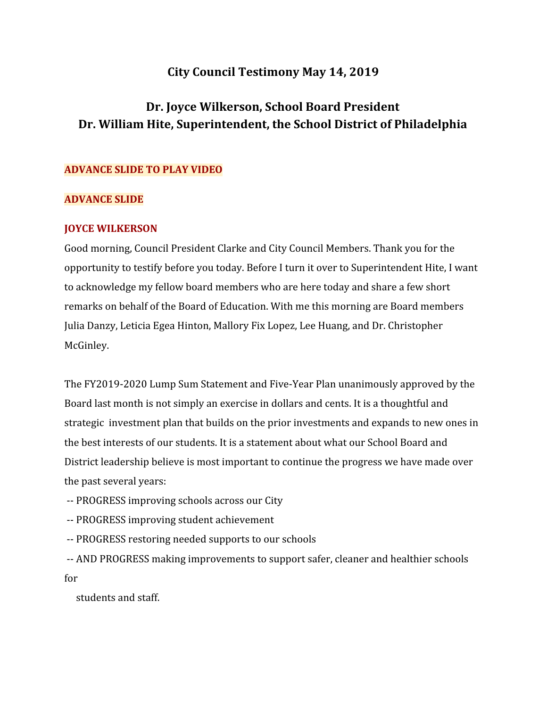# **City Council Testimony May 14, 2019**

# **Dr. Joyce Wilkerson, School Board President Dr. William Hite, Superintendent, the School District of Philadelphia**

#### **ADVANCE SLIDE TO PLAY VIDEO**

#### **ADVANCE SLIDE**

#### **JOYCE WILKERSON**

Good morning, Council President Clarke and City Council Members. Thank you for the opportunity to testify before you today. Before I turn it over to Superintendent Hite, I want to acknowledge my fellow board members who are here today and share a few short remarks on behalf of the Board of Education. With me this morning are Board members Julia Danzy, Leticia Egea Hinton, Mallory Fix Lopez, Lee Huang, and Dr. Christopher McGinley.

The FY2019-2020 Lump Sum Statement and Five-Year Plan unanimously approved by the Board last month is not simply an exercise in dollars and cents. It is a thoughtful and strategic investment plan that builds on the prior investments and expands to new ones in the best interests of our students. It is a statement about what our School Board and District leadership believe is most important to continue the progress we have made over the past several years:

-- PROGRESS improving schools across our City

-- PROGRESS improving student achievement

-- PROGRESS restoring needed supports to our schools

 -- AND PROGRESS making improvements to support safer, cleaner and healthier schools for

students and staff.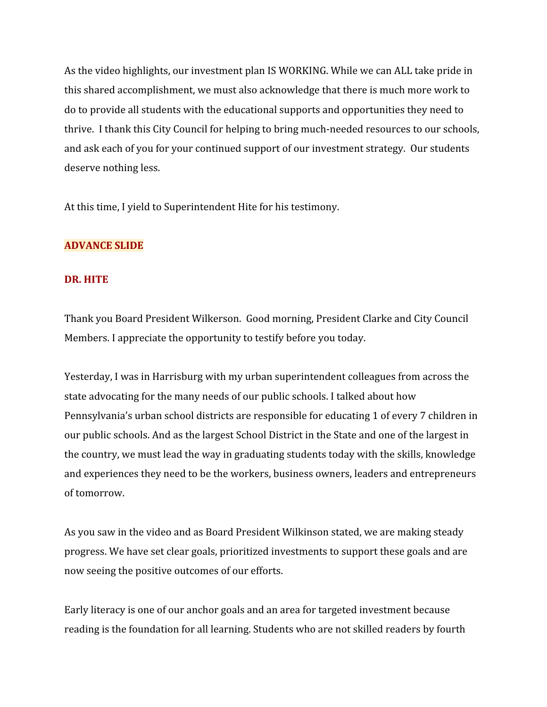As the video highlights, our investment plan IS WORKING. While we can ALL take pride in this shared accomplishment, we must also acknowledge that there is much more work to do to provide all students with the educational supports and opportunities they need to thrive. I thank this City Council for helping to bring much-needed resources to our schools, and ask each of you for your continued support of our investment strategy. Our students deserve nothing less.

At this time, I yield to Superintendent Hite for his testimony.

# **ADVANCE SLIDE**

#### **DR. HITE**

Thank you Board President Wilkerson. Good morning, President Clarke and City Council Members. I appreciate the opportunity to testify before you today.

Yesterday, I was in Harrisburg with my urban superintendent colleagues from across the state advocating for the many needs of our public schools. I talked about how Pennsylvania's urban school districts are responsible for educating 1 of every 7 children in our public schools. And as the largest School District in the State and one of the largest in the country, we must lead the way in graduating students today with the skills, knowledge and experiences they need to be the workers, business owners, leaders and entrepreneurs of tomorrow.

As you saw in the video and as Board President Wilkinson stated, we are making steady progress. We have set clear goals, prioritized investments to support these goals and are now seeing the positive outcomes of our efforts.

Early literacy is one of our anchor goals and an area for targeted investment because reading is the foundation for all learning. Students who are not skilled readers by fourth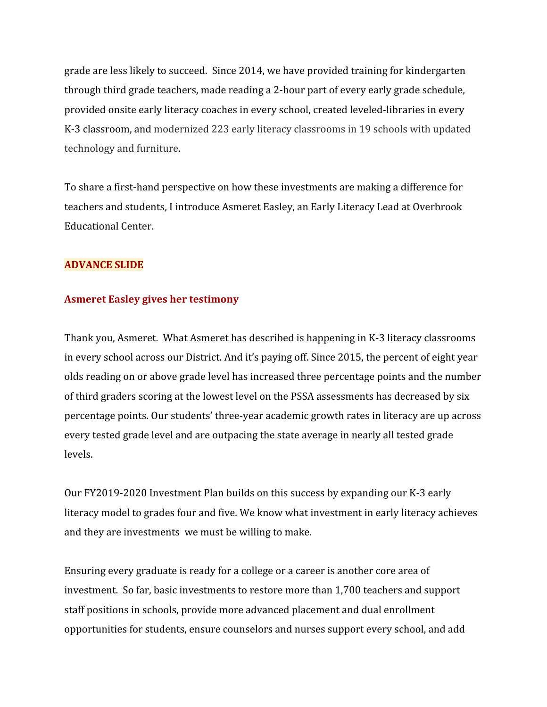grade are less likely to succeed. Since 2014, we have provided training for kindergarten through third grade teachers, made reading a 2-hour part of every early grade schedule, provided onsite early literacy coaches in every school, created leveled-libraries in every K-3 classroom, and modernized 223 early literacy classrooms in 19 schools with updated technology and furniture.

To share a first-hand perspective on how these investments are making a difference for teachers and students, I introduce Asmeret Easley, an Early Literacy Lead at Overbrook Educational Center.

# **ADVANCE SLIDE**

# **Asmeret Easley gives her testimony**

Thank you, Asmeret. What Asmeret has described is happening in K-3 literacy classrooms in every school across our District. And it's paying off. Since 2015, the percent of eight year olds reading on or above grade level has increased three percentage points and the number of third graders scoring at the lowest level on the PSSA assessments has decreased by six percentage points. Our students' three-year academic growth rates in literacy are up across every tested grade level and are outpacing the state average in nearly all tested grade levels.

Our FY2019-2020 Investment Plan builds on this success by expanding our K-3 early literacy model to grades four and five. We know what investment in early literacy achieves and they are investments we must be willing to make.

Ensuring every graduate is ready for a college or a career is another core area of investment. So far, basic investments to restore more than 1,700 teachers and support staff positions in schools, provide more advanced placement and dual enrollment opportunities for students, ensure counselors and nurses support every school, and add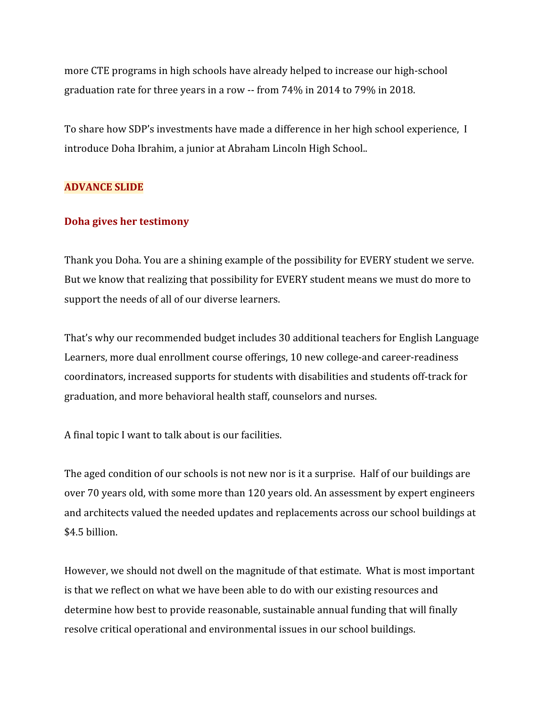more CTE programs in high schools have already helped to increase our high-school graduation rate for three years in a row -- from 74% in 2014 to 79% in 2018.

To share how SDP's investments have made a difference in her high school experience, I introduce Doha Ibrahim, a junior at Abraham Lincoln High School..

# **ADVANCE SLIDE**

#### **Doha gives her testimony**

Thank you Doha. You are a shining example of the possibility for EVERY student we serve. But we know that realizing that possibility for EVERY student means we must do more to support the needs of all of our diverse learners.

That's why our recommended budget includes 30 additional teachers for English Language Learners, more dual enrollment course offerings, 10 new college-and career-readiness coordinators, increased supports for students with disabilities and students off-track for graduation, and more behavioral health staff, counselors and nurses.

A final topic I want to talk about is our facilities.

The aged condition of our schools is not new nor is it a surprise. Half of our buildings are over 70 years old, with some more than 120 years old. An assessment by expert engineers and architects valued the needed updates and replacements across our school buildings at \$4.5 billion.

However, we should not dwell on the magnitude of that estimate. What is most important is that we reflect on what we have been able to do with our existing resources and determine how best to provide reasonable, sustainable annual funding that will finally resolve critical operational and environmental issues in our school buildings.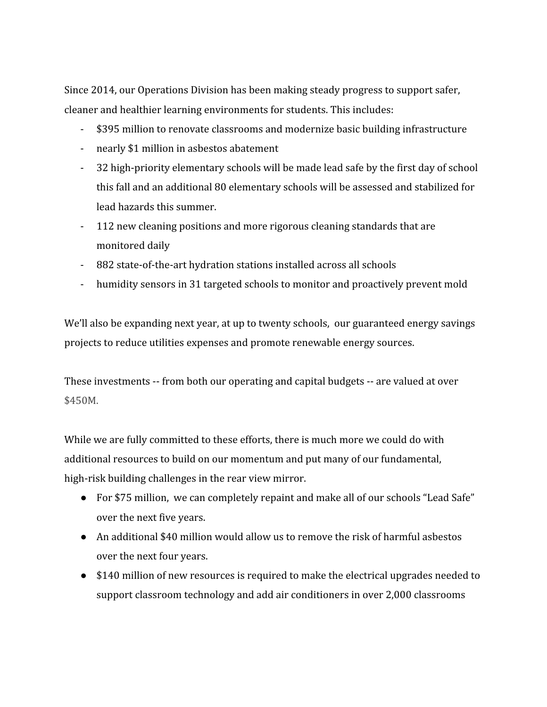Since 2014, our Operations Division has been making steady progress to support safer, cleaner and healthier learning environments for students. This includes:

- \$395 million to renovate classrooms and modernize basic building infrastructure
- nearly \$1 million in asbestos abatement
- 32 high-priority elementary schools will be made lead safe by the first day of school this fall and an additional 80 elementary schools will be assessed and stabilized for lead hazards this summer.
- 112 new cleaning positions and more rigorous cleaning standards that are monitored daily
- 882 state-of-the-art hydration stations installed across all schools
- humidity sensors in 31 targeted schools to monitor and proactively prevent mold

We'll also be expanding next year, at up to twenty schools, our guaranteed energy savings projects to reduce utilities expenses and promote renewable energy sources.

These investments -- from both our operating and capital budgets -- are valued at over \$450M.

While we are fully committed to these efforts, there is much more we could do with additional resources to build on our momentum and put many of our fundamental, high-risk building challenges in the rear view mirror.

- For \$75 million, we can completely repaint and make all of our schools "Lead Safe" over the next five years.
- An additional \$40 million would allow us to remove the risk of harmful asbestos over the next four years.
- \$140 million of new resources is required to make the electrical upgrades needed to support classroom technology and add air conditioners in over 2,000 classrooms